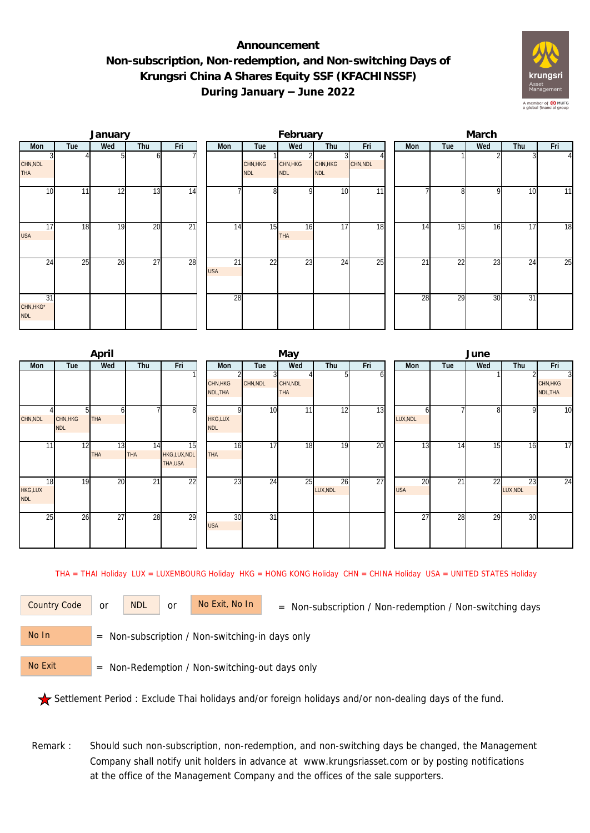## **Announcement Non-subscription, Non-redemption, and Non-switching Days of Krungsri China A Shares Equity SSF (KFACHINSSF) During January – June 2022**



|                               |     | January |     |                 |                  |                        | February               |                        |          | March |     |                 |     |                |  |  |
|-------------------------------|-----|---------|-----|-----------------|------------------|------------------------|------------------------|------------------------|----------|-------|-----|-----------------|-----|----------------|--|--|
| Mon                           | Tue | Wed     | Thu | Fri             | Mon              | Tue                    | Wed                    | Thu                    | Fri      | Mon   | Tue | Wed             | Thu | Fri            |  |  |
| CHN, NDL<br><b>THA</b>        |     |         |     |                 |                  | CHN, HKG<br><b>NDL</b> | CHN, HKG<br><b>NDL</b> | CHN, HKG<br><b>NDL</b> | CHN, NDL |       |     |                 |     | $\overline{4}$ |  |  |
| 10                            | 11  | 12      | 13  | 14              |                  | 8 <sup>1</sup>         | n                      | 10                     | 11       |       | n   | <sup>Q</sup>    | 10  | 11             |  |  |
| $1\overline{7}$<br><b>USA</b> | 18  | 19      | 20  | $\overline{21}$ | 14               | 15                     | 16<br>THA              | 17                     | 18       | 14    | 15  | 16              | 17  | 18             |  |  |
| 24                            | 25  | 26      | 27  | 28              | 21<br><b>USA</b> | 22                     | 23                     | 24                     | 25       | 21    | 22  | $\overline{23}$ | 24  | 25             |  |  |
| 31<br>CHN, HKG*<br><b>NDL</b> |     |         |     |                 | 28               |                        |                        |                        |          | 28    | 29  | 30              | 31  |                |  |  |

|                             |                        | April            |                  |                               |                              |                 | May                    |                |     | June             |     |                 |                |                                        |  |  |
|-----------------------------|------------------------|------------------|------------------|-------------------------------|------------------------------|-----------------|------------------------|----------------|-----|------------------|-----|-----------------|----------------|----------------------------------------|--|--|
| Mon                         | Tue                    | Wed              | Thu              | Fri                           | Mon                          | Tue             | Wed                    | Thu            | Fri | Mon              | Tue | Wed             | Thu            | Fri                                    |  |  |
|                             |                        |                  |                  |                               | CHN, HKG<br>NDL, THA         | CHN, NDL        | CHN, NDL<br><b>THA</b> |                | n   |                  |     |                 |                | $\overline{3}$<br>CHN, HKG<br>NDL, THA |  |  |
| CHN, NDL                    | CHN, HKG<br><b>NDL</b> | <b>THA</b>       |                  | 8 <sup>1</sup>                | <b>HKG,LUX</b><br><b>NDL</b> | 10<br>ΩI        | 11                     | 12             | 13  | LUX, NDL         |     | 8               | 9              | 10                                     |  |  |
| 11                          | 12                     | 13<br><b>THA</b> | 14<br><b>THA</b> | 15<br>HKG,LUX,NDL<br>THA, USA | 16<br><b>THA</b>             | 17              | 18                     | 19             | 20  | 13               | 14  | $1\overline{5}$ | 16             | 17                                     |  |  |
| 18<br>HKG,LUX<br><b>NDL</b> | 19                     | 20               | $\overline{21}$  | 22                            | 23                           | 24              | 25                     | 26<br>LUX, NDL | 27  | 20<br><b>USA</b> | 21  | 22              | 23<br>LUX, NDL | 24                                     |  |  |
| 25                          | 26                     | 27               | 28               | 29                            | 30<br><b>USA</b>             | $\overline{31}$ |                        |                |     | $\overline{27}$  | 28  | 29              | 30             |                                        |  |  |

THA = THAI Holiday LUX = LUXEMBOURG Holiday HKG = HONG KONG Holiday CHN = CHINA Holiday USA = UNITED STATES Holiday

or NDL or

Country Code or NDL or No Exit, No In = Non-subscription / Non-redemption / Non-switching days

 = Non-subscription / Non-switching-in days only No In

 = Non-Redemption / Non-switching-out days only No Exit

Settlement Period : Exclude Thai holidays and/or foreign holidays and/or non-dealing days of the fund.

Remark : Should such non-subscription, non-redemption, and non-switching days be changed, the Management Company shall notify unit holders in advance at www.krungsriasset.com or by posting notifications at the office of the Management Company and the offices of the sale supporters.